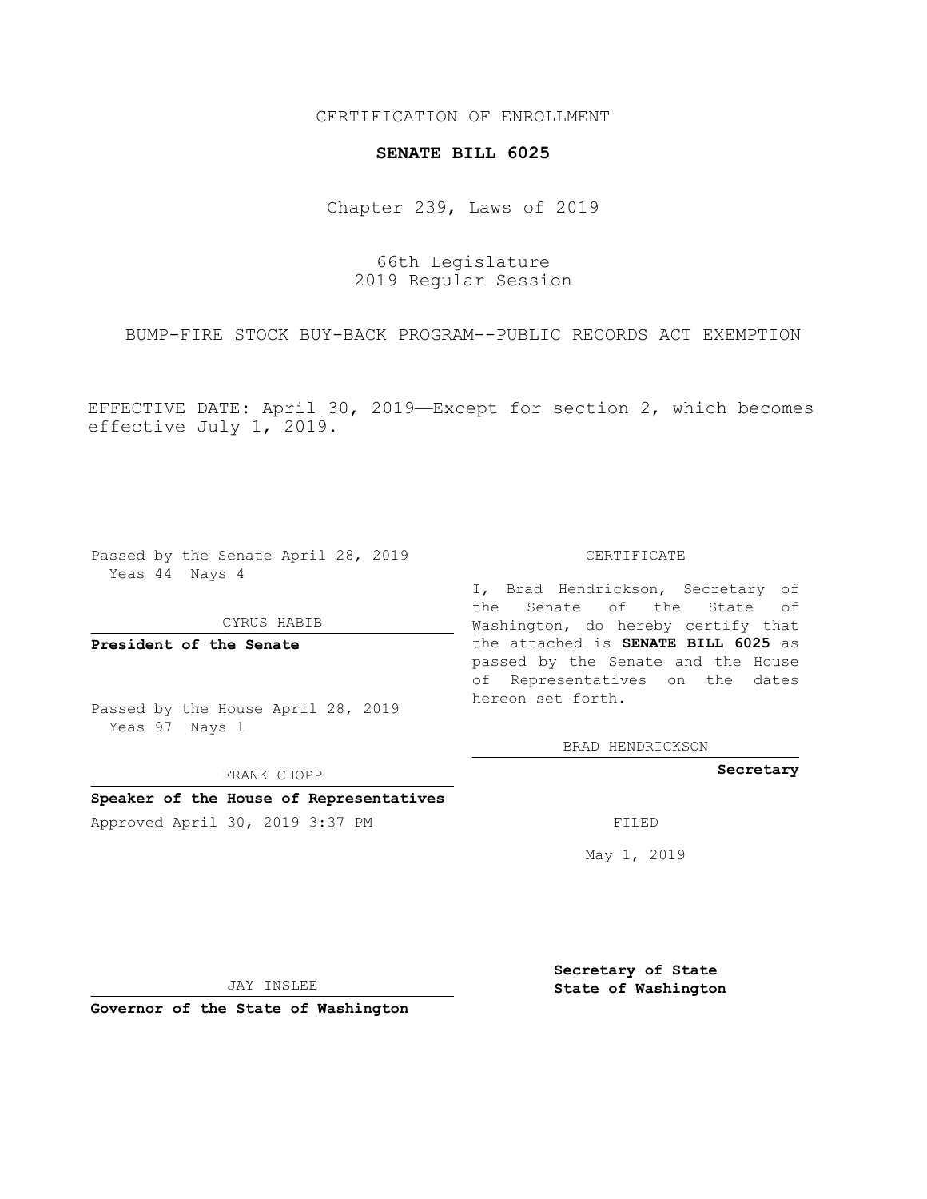## CERTIFICATION OF ENROLLMENT

### **SENATE BILL 6025**

Chapter 239, Laws of 2019

66th Legislature 2019 Regular Session

BUMP-FIRE STOCK BUY-BACK PROGRAM--PUBLIC RECORDS ACT EXEMPTION

EFFECTIVE DATE: April 30, 2019—Except for section 2, which becomes effective July 1, 2019.

Passed by the Senate April 28, 2019 Yeas 44 Nays 4

### CYRUS HABIB

**President of the Senate**

Passed by the House April 28, 2019 Yeas 97 Nays 1

FRANK CHOPP

# **Speaker of the House of Representatives**

Approved April 30, 2019 3:37 PM FILED

#### CERTIFICATE

I, Brad Hendrickson, Secretary of the Senate of the State of Washington, do hereby certify that the attached is **SENATE BILL 6025** as passed by the Senate and the House of Representatives on the dates hereon set forth.

BRAD HENDRICKSON

## **Secretary**

May 1, 2019

JAY INSLEE

**Governor of the State of Washington**

**Secretary of State State of Washington**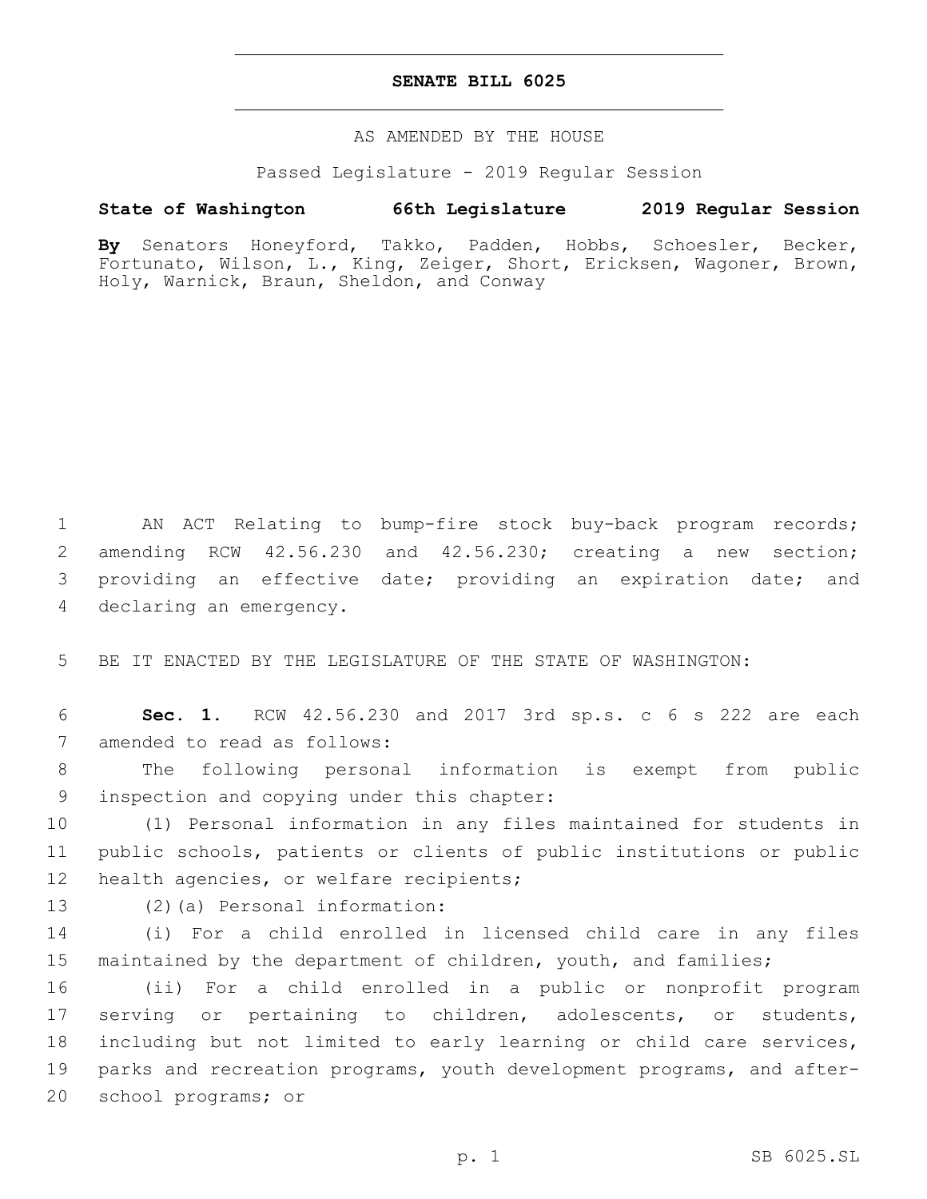## **SENATE BILL 6025**

### AS AMENDED BY THE HOUSE

Passed Legislature - 2019 Regular Session

# **State of Washington 66th Legislature 2019 Regular Session**

**By** Senators Honeyford, Takko, Padden, Hobbs, Schoesler, Becker, Fortunato, Wilson, L., King, Zeiger, Short, Ericksen, Wagoner, Brown, Holy, Warnick, Braun, Sheldon, and Conway

 AN ACT Relating to bump-fire stock buy-back program records; amending RCW 42.56.230 and 42.56.230; creating a new section; providing an effective date; providing an expiration date; and 4 declaring an emergency.

5 BE IT ENACTED BY THE LEGISLATURE OF THE STATE OF WASHINGTON:

6 **Sec. 1.** RCW 42.56.230 and 2017 3rd sp.s. c 6 s 222 are each 7 amended to read as follows:

8 The following personal information is exempt from public 9 inspection and copying under this chapter:

10 (1) Personal information in any files maintained for students in 11 public schools, patients or clients of public institutions or public 12 health agencies, or welfare recipients;

13 (2)(a) Personal information:

14 (i) For a child enrolled in licensed child care in any files 15 maintained by the department of children, youth, and families;

 (ii) For a child enrolled in a public or nonprofit program serving or pertaining to children, adolescents, or students, including but not limited to early learning or child care services, parks and recreation programs, youth development programs, and after-20 school programs; or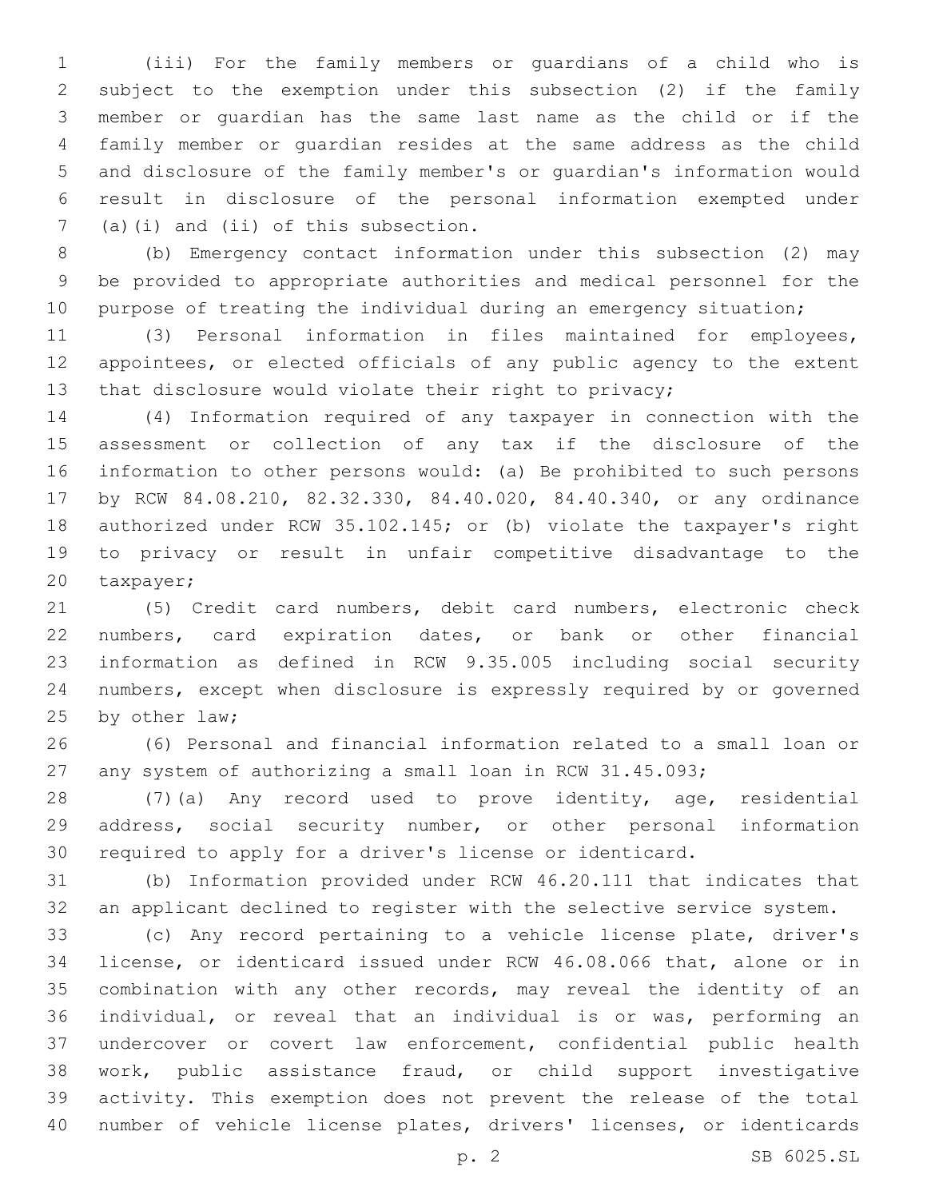(iii) For the family members or guardians of a child who is subject to the exemption under this subsection (2) if the family member or guardian has the same last name as the child or if the family member or guardian resides at the same address as the child and disclosure of the family member's or guardian's information would result in disclosure of the personal information exempted under (a)(i) and (ii) of this subsection.7

 (b) Emergency contact information under this subsection (2) may be provided to appropriate authorities and medical personnel for the 10 purpose of treating the individual during an emergency situation;

 (3) Personal information in files maintained for employees, appointees, or elected officials of any public agency to the extent that disclosure would violate their right to privacy;

 (4) Information required of any taxpayer in connection with the assessment or collection of any tax if the disclosure of the information to other persons would: (a) Be prohibited to such persons by RCW 84.08.210, 82.32.330, 84.40.020, 84.40.340, or any ordinance authorized under RCW 35.102.145; or (b) violate the taxpayer's right to privacy or result in unfair competitive disadvantage to the 20 taxpayer;

 (5) Credit card numbers, debit card numbers, electronic check numbers, card expiration dates, or bank or other financial information as defined in RCW 9.35.005 including social security numbers, except when disclosure is expressly required by or governed 25 by other law;

 (6) Personal and financial information related to a small loan or any system of authorizing a small loan in RCW 31.45.093;

 (7)(a) Any record used to prove identity, age, residential address, social security number, or other personal information required to apply for a driver's license or identicard.

 (b) Information provided under RCW 46.20.111 that indicates that an applicant declined to register with the selective service system.

 (c) Any record pertaining to a vehicle license plate, driver's license, or identicard issued under RCW 46.08.066 that, alone or in combination with any other records, may reveal the identity of an individual, or reveal that an individual is or was, performing an undercover or covert law enforcement, confidential public health work, public assistance fraud, or child support investigative activity. This exemption does not prevent the release of the total number of vehicle license plates, drivers' licenses, or identicards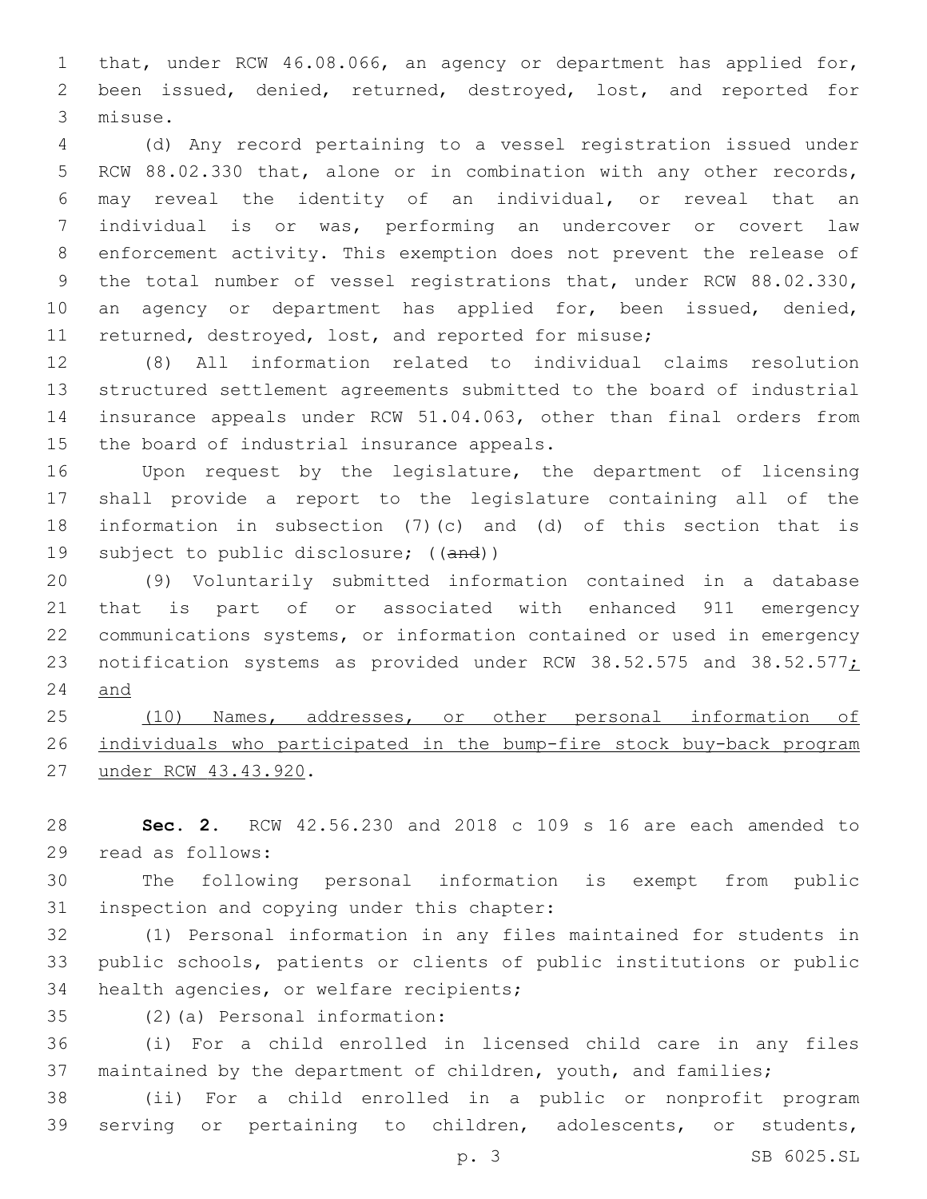that, under RCW 46.08.066, an agency or department has applied for, been issued, denied, returned, destroyed, lost, and reported for 3 misuse.

 (d) Any record pertaining to a vessel registration issued under RCW 88.02.330 that, alone or in combination with any other records, may reveal the identity of an individual, or reveal that an individual is or was, performing an undercover or covert law enforcement activity. This exemption does not prevent the release of the total number of vessel registrations that, under RCW 88.02.330, an agency or department has applied for, been issued, denied, 11 returned, destroyed, lost, and reported for misuse;

 (8) All information related to individual claims resolution structured settlement agreements submitted to the board of industrial insurance appeals under RCW 51.04.063, other than final orders from 15 the board of industrial insurance appeals.

 Upon request by the legislature, the department of licensing shall provide a report to the legislature containing all of the information in subsection (7)(c) and (d) of this section that is 19 subject to public disclosure; ((and))

 (9) Voluntarily submitted information contained in a database that is part of or associated with enhanced 911 emergency communications systems, or information contained or used in emergency 23 notification systems as provided under RCW 38.52.575 and 38.52.577; and

 (10) Names, addresses, or other personal information of individuals who participated in the bump-fire stock buy-back program 27 under RCW 43.43.920.

 **Sec. 2.** RCW 42.56.230 and 2018 c 109 s 16 are each amended to read as follows:29

 The following personal information is exempt from public 31 inspection and copying under this chapter:

 (1) Personal information in any files maintained for students in public schools, patients or clients of public institutions or public 34 health agencies, or welfare recipients;

(2)(a) Personal information:35

 (i) For a child enrolled in licensed child care in any files 37 maintained by the department of children, youth, and families;

 (ii) For a child enrolled in a public or nonprofit program serving or pertaining to children, adolescents, or students,

p. 3 SB 6025.SL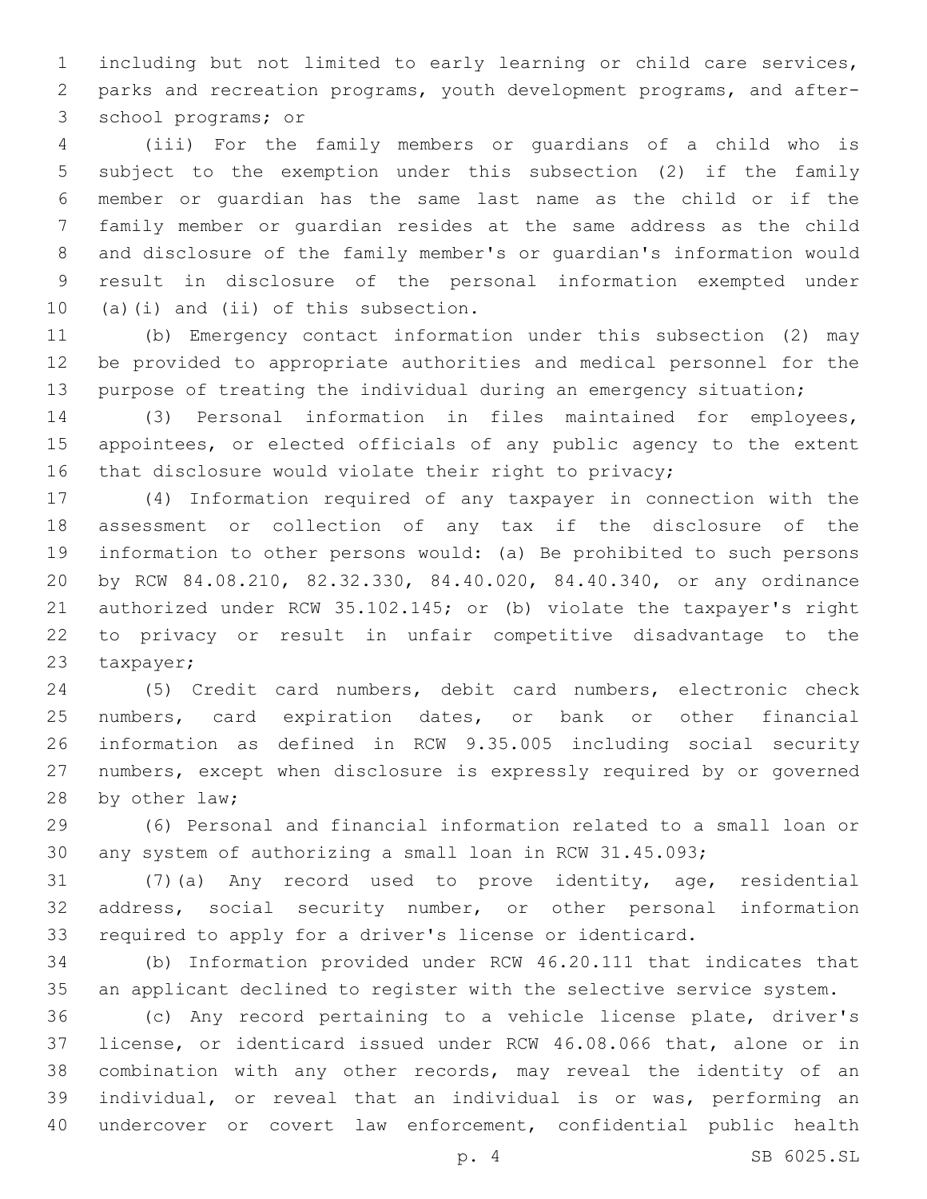including but not limited to early learning or child care services, parks and recreation programs, youth development programs, and after-3 school programs; or

 (iii) For the family members or guardians of a child who is subject to the exemption under this subsection (2) if the family member or guardian has the same last name as the child or if the family member or guardian resides at the same address as the child and disclosure of the family member's or guardian's information would result in disclosure of the personal information exempted under (a)(i) and (ii) of this subsection.

 (b) Emergency contact information under this subsection (2) may be provided to appropriate authorities and medical personnel for the purpose of treating the individual during an emergency situation;

 (3) Personal information in files maintained for employees, appointees, or elected officials of any public agency to the extent 16 that disclosure would violate their right to privacy;

 (4) Information required of any taxpayer in connection with the assessment or collection of any tax if the disclosure of the information to other persons would: (a) Be prohibited to such persons by RCW 84.08.210, 82.32.330, 84.40.020, 84.40.340, or any ordinance authorized under RCW 35.102.145; or (b) violate the taxpayer's right to privacy or result in unfair competitive disadvantage to the 23 taxpayer;

 (5) Credit card numbers, debit card numbers, electronic check numbers, card expiration dates, or bank or other financial information as defined in RCW 9.35.005 including social security numbers, except when disclosure is expressly required by or governed 28 by other law;

 (6) Personal and financial information related to a small loan or any system of authorizing a small loan in RCW 31.45.093;

 (7)(a) Any record used to prove identity, age, residential address, social security number, or other personal information required to apply for a driver's license or identicard.

 (b) Information provided under RCW 46.20.111 that indicates that an applicant declined to register with the selective service system.

 (c) Any record pertaining to a vehicle license plate, driver's license, or identicard issued under RCW 46.08.066 that, alone or in combination with any other records, may reveal the identity of an individual, or reveal that an individual is or was, performing an undercover or covert law enforcement, confidential public health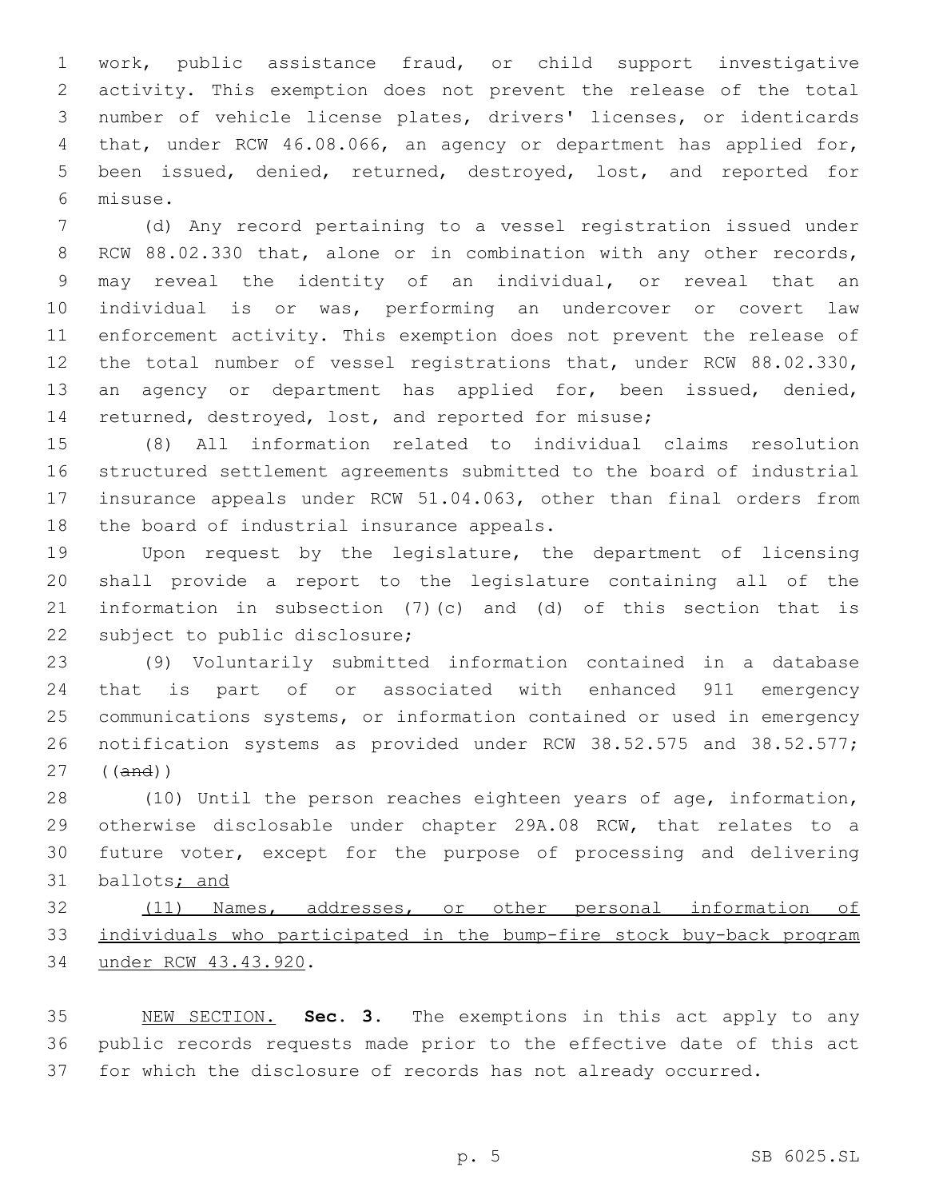work, public assistance fraud, or child support investigative activity. This exemption does not prevent the release of the total number of vehicle license plates, drivers' licenses, or identicards that, under RCW 46.08.066, an agency or department has applied for, been issued, denied, returned, destroyed, lost, and reported for misuse.6

 (d) Any record pertaining to a vessel registration issued under 8 RCW 88.02.330 that, alone or in combination with any other records, may reveal the identity of an individual, or reveal that an individual is or was, performing an undercover or covert law enforcement activity. This exemption does not prevent the release of the total number of vessel registrations that, under RCW 88.02.330, an agency or department has applied for, been issued, denied, returned, destroyed, lost, and reported for misuse;

 (8) All information related to individual claims resolution structured settlement agreements submitted to the board of industrial insurance appeals under RCW 51.04.063, other than final orders from 18 the board of industrial insurance appeals.

 Upon request by the legislature, the department of licensing shall provide a report to the legislature containing all of the information in subsection (7)(c) and (d) of this section that is 22 subject to public disclosure;

 (9) Voluntarily submitted information contained in a database that is part of or associated with enhanced 911 emergency communications systems, or information contained or used in emergency notification systems as provided under RCW 38.52.575 and 38.52.577; ((and))

 (10) Until the person reaches eighteen years of age, information, otherwise disclosable under chapter 29A.08 RCW, that relates to a future voter, except for the purpose of processing and delivering 31 ballots; and

 (11) Names, addresses, or other personal information of individuals who participated in the bump-fire stock buy-back program 34 under RCW 43.43.920.

 NEW SECTION. **Sec. 3.** The exemptions in this act apply to any public records requests made prior to the effective date of this act for which the disclosure of records has not already occurred.